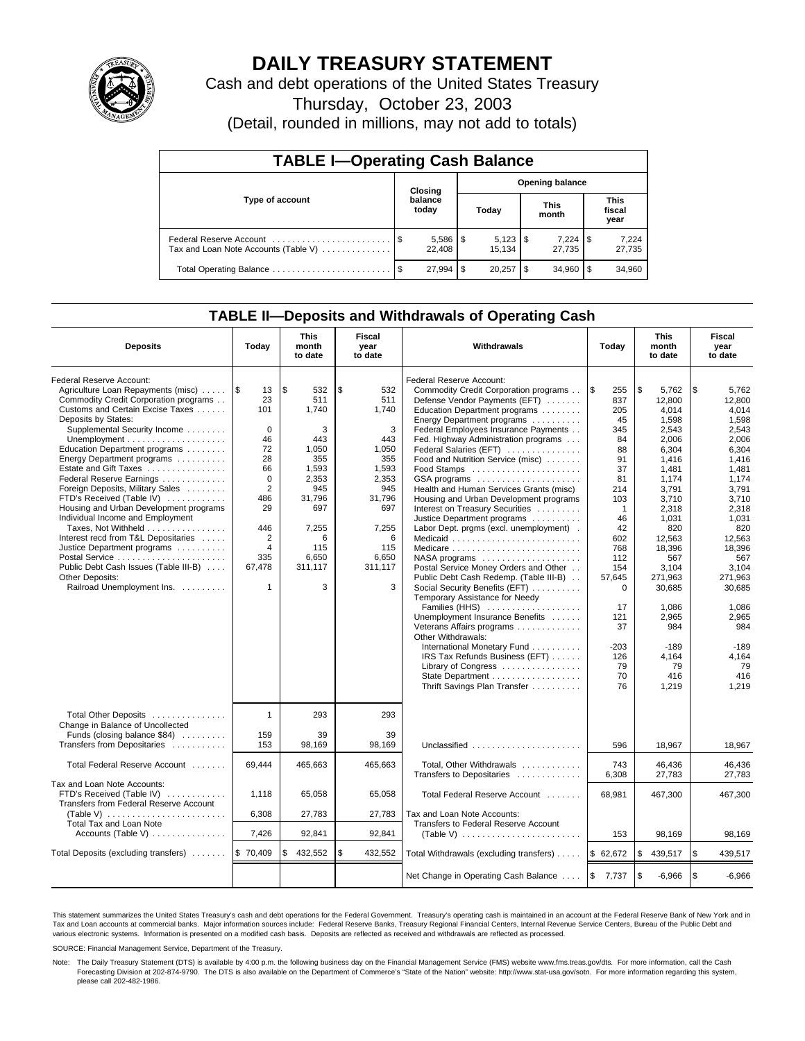

# **DAILY TREASURY STATEMENT**

Cash and debt operations of the United States Treasury

Thursday, October 23, 2003

(Detail, rounded in millions, may not add to totals)

| <b>TABLE I-Operating Cash Balance</b>                           |  |                        |                        |        |                      |        |                               |                 |  |  |
|-----------------------------------------------------------------|--|------------------------|------------------------|--------|----------------------|--------|-------------------------------|-----------------|--|--|
|                                                                 |  | Closing                | <b>Opening balance</b> |        |                      |        |                               |                 |  |  |
| Type of account                                                 |  | balance<br>today       |                        | Today  | <b>This</b><br>month |        | <b>This</b><br>fiscal<br>year |                 |  |  |
| Federal Reserve Account<br>Tax and Loan Note Accounts (Table V) |  | $5,586$   \$<br>22.408 |                        | 15.134 |                      | 27.735 |                               | 7,224<br>27,735 |  |  |
| Total Operating Balance                                         |  | 27.994                 | S                      | 20.257 | \$                   | 34.960 |                               | 34,960          |  |  |

## **TABLE II—Deposits and Withdrawals of Operating Cash**

| <b>Deposits</b>                                                                                                                                                                                                                                                                                                                                                                                                                                                                                                                                                                                                                                              | Today                                                                                                                                                      | <b>This</b><br>month<br>to date                                                                                                                      | Fiscal<br>year<br>to date                                                                                                                     | Withdrawals                                                                                                                                                                                                                                                                                                                                                                                                                                                                                                                                                                                                                                                                                                                                                                                                                                                                                                                                                                | Today                                                                                                                                                                                                                      | <b>This</b><br>month<br>to date                                                                                                                                                                                                                                     | Fiscal<br>year<br>to date                                                                                                                                                                                                                                           |
|--------------------------------------------------------------------------------------------------------------------------------------------------------------------------------------------------------------------------------------------------------------------------------------------------------------------------------------------------------------------------------------------------------------------------------------------------------------------------------------------------------------------------------------------------------------------------------------------------------------------------------------------------------------|------------------------------------------------------------------------------------------------------------------------------------------------------------|------------------------------------------------------------------------------------------------------------------------------------------------------|-----------------------------------------------------------------------------------------------------------------------------------------------|----------------------------------------------------------------------------------------------------------------------------------------------------------------------------------------------------------------------------------------------------------------------------------------------------------------------------------------------------------------------------------------------------------------------------------------------------------------------------------------------------------------------------------------------------------------------------------------------------------------------------------------------------------------------------------------------------------------------------------------------------------------------------------------------------------------------------------------------------------------------------------------------------------------------------------------------------------------------------|----------------------------------------------------------------------------------------------------------------------------------------------------------------------------------------------------------------------------|---------------------------------------------------------------------------------------------------------------------------------------------------------------------------------------------------------------------------------------------------------------------|---------------------------------------------------------------------------------------------------------------------------------------------------------------------------------------------------------------------------------------------------------------------|
| Federal Reserve Account:<br>Agriculture Loan Repayments (misc)<br>Commodity Credit Corporation programs<br>Customs and Certain Excise Taxes<br>Deposits by States:<br>Supplemental Security Income<br>Education Department programs<br>Energy Department programs<br>Estate and Gift Taxes<br>Federal Reserve Earnings<br>Foreign Deposits, Military Sales<br>FTD's Received (Table IV)<br>Housing and Urban Development programs<br>Individual Income and Employment<br>Taxes, Not Withheld<br>Interest recd from T&L Depositaries<br>Justice Department programs<br>Public Debt Cash Issues (Table III-B)<br>Other Deposits:<br>Railroad Unemployment Ins. | 1\$<br>13<br>23<br>101<br>$\Omega$<br>46<br>72<br>28<br>66<br>$\mathbf 0$<br>2<br>486<br>29<br>446<br>2<br>$\overline{4}$<br>335<br>67.478<br>$\mathbf{1}$ | <b>\$</b><br>532<br>511<br>1.740<br>3<br>443<br>1,050<br>355<br>1,593<br>2,353<br>945<br>31,796<br>697<br>7,255<br>6<br>115<br>6,650<br>311.117<br>3 | \$<br>532<br>511<br>1.740<br>3<br>443<br>1,050<br>355<br>1,593<br>2,353<br>945<br>31.796<br>697<br>7,255<br>6<br>115<br>6,650<br>311.117<br>3 | Federal Reserve Account:<br>Commodity Credit Corporation programs<br>Defense Vendor Payments (EFT)<br>Education Department programs<br>Energy Department programs<br>Federal Employees Insurance Payments<br>Fed. Highway Administration programs<br>Federal Salaries (EFT)<br>Food and Nutrition Service (misc)<br>GSA programs<br>Health and Human Services Grants (misc)<br>Housing and Urban Development programs<br>Interest on Treasury Securities<br>Justice Department programs<br>Labor Dept. prgms (excl. unemployment).<br>Medicaid<br>NASA programs<br>Postal Service Money Orders and Other<br>Public Debt Cash Redemp. (Table III-B)<br>Social Security Benefits (EFT)<br>Temporary Assistance for Needy<br>Families (HHS)<br>Unemployment Insurance Benefits<br>Veterans Affairs programs<br>Other Withdrawals:<br>International Monetary Fund<br>IRS Tax Refunds Business (EFT)<br>Library of Congress<br>State Department<br>Thrift Savings Plan Transfer | <b>S</b><br>255<br>837<br>205<br>45<br>345<br>84<br>88<br>91<br>37<br>81<br>214<br>103<br>$\mathbf{1}$<br>46<br>42<br>602<br>768<br>112<br>154<br>57,645<br>$\Omega$<br>17<br>121<br>37<br>$-203$<br>126<br>79<br>70<br>76 | \$<br>5,762<br>12,800<br>4.014<br>1.598<br>2,543<br>2,006<br>6,304<br>1,416<br>1,481<br>1,174<br>3.791<br>3.710<br>2,318<br>1,031<br>820<br>12,563<br>18,396<br>567<br>3.104<br>271,963<br>30,685<br>1,086<br>2,965<br>984<br>$-189$<br>4.164<br>79<br>416<br>1,219 | \$<br>5,762<br>12,800<br>4.014<br>1.598<br>2,543<br>2,006<br>6,304<br>1,416<br>1,481<br>1,174<br>3.791<br>3.710<br>2,318<br>1,031<br>820<br>12,563<br>18,396<br>567<br>3.104<br>271.963<br>30,685<br>1,086<br>2,965<br>984<br>$-189$<br>4.164<br>79<br>416<br>1,219 |
| Total Other Deposits<br>Change in Balance of Uncollected<br>Funds (closing balance \$84)<br>Transfers from Depositaries                                                                                                                                                                                                                                                                                                                                                                                                                                                                                                                                      | $\mathbf{1}$<br>159<br>153                                                                                                                                 | 293<br>39<br>98,169                                                                                                                                  | 293<br>39<br>98.169                                                                                                                           | Unclassified                                                                                                                                                                                                                                                                                                                                                                                                                                                                                                                                                                                                                                                                                                                                                                                                                                                                                                                                                               | 596                                                                                                                                                                                                                        | 18.967                                                                                                                                                                                                                                                              | 18,967                                                                                                                                                                                                                                                              |
| Total Federal Reserve Account                                                                                                                                                                                                                                                                                                                                                                                                                                                                                                                                                                                                                                | 69,444                                                                                                                                                     | 465,663                                                                                                                                              | 465,663                                                                                                                                       | Total, Other Withdrawals<br>Transfers to Depositaries                                                                                                                                                                                                                                                                                                                                                                                                                                                                                                                                                                                                                                                                                                                                                                                                                                                                                                                      | 743<br>6,308                                                                                                                                                                                                               | 46,436<br>27,783                                                                                                                                                                                                                                                    | 46,436<br>27,783                                                                                                                                                                                                                                                    |
| Tax and Loan Note Accounts:<br>FTD's Received (Table IV)<br>Transfers from Federal Reserve Account<br>(Table V) $\ldots \ldots \ldots \ldots \ldots \ldots \ldots$<br>Total Tax and Loan Note<br>Accounts (Table V)                                                                                                                                                                                                                                                                                                                                                                                                                                          | 1,118<br>6,308<br>7,426                                                                                                                                    | 65,058<br>27,783<br>92,841                                                                                                                           | 65,058<br>27,783<br>92,841                                                                                                                    | Total Federal Reserve Account<br>Tax and Loan Note Accounts:<br>Transfers to Federal Reserve Account<br>(Table V) $\ldots \ldots \ldots \ldots \ldots \ldots \ldots$                                                                                                                                                                                                                                                                                                                                                                                                                                                                                                                                                                                                                                                                                                                                                                                                       | 68.981<br>153                                                                                                                                                                                                              | 467,300<br>98,169                                                                                                                                                                                                                                                   | 467.300<br>98,169                                                                                                                                                                                                                                                   |
| Total Deposits (excluding transfers)                                                                                                                                                                                                                                                                                                                                                                                                                                                                                                                                                                                                                         | \$70,409                                                                                                                                                   | 432,552<br>\$                                                                                                                                        | \$<br>432,552                                                                                                                                 | Total Withdrawals (excluding transfers)                                                                                                                                                                                                                                                                                                                                                                                                                                                                                                                                                                                                                                                                                                                                                                                                                                                                                                                                    | \$62,672                                                                                                                                                                                                                   | \$                                                                                                                                                                                                                                                                  | \$<br>439,517                                                                                                                                                                                                                                                       |
|                                                                                                                                                                                                                                                                                                                                                                                                                                                                                                                                                                                                                                                              |                                                                                                                                                            |                                                                                                                                                      |                                                                                                                                               |                                                                                                                                                                                                                                                                                                                                                                                                                                                                                                                                                                                                                                                                                                                                                                                                                                                                                                                                                                            |                                                                                                                                                                                                                            | 439,517                                                                                                                                                                                                                                                             |                                                                                                                                                                                                                                                                     |
|                                                                                                                                                                                                                                                                                                                                                                                                                                                                                                                                                                                                                                                              |                                                                                                                                                            |                                                                                                                                                      |                                                                                                                                               | Net Change in Operating Cash Balance                                                                                                                                                                                                                                                                                                                                                                                                                                                                                                                                                                                                                                                                                                                                                                                                                                                                                                                                       | $\mathfrak s$<br>7,737                                                                                                                                                                                                     | \$<br>$-6,966$                                                                                                                                                                                                                                                      | l \$<br>$-6,966$                                                                                                                                                                                                                                                    |

This statement summarizes the United States Treasury's cash and debt operations for the Federal Government. Treasury's operating cash is maintained in an account at the Federal Reserve Bank of New York and in Tax and Loan accounts at commercial banks. Major information sources include: Federal Reserve Banks, Treasury Regional Financial Centers, Internal Revenue Service Centers, Bureau of the Public Debt and<br>various electronic s

SOURCE: Financial Management Service, Department of the Treasury.

Note: The Daily Treasury Statement (DTS) is available by 4:00 p.m. the following business day on the Financial Management Service (FMS) website www.fms.treas.gov/dts. For more information, call the Cash Forecasting Division at 202-874-9790. The DTS is also available on the Department of Commerce's "State of the Nation" website: http://www.stat-usa.gov/sotn. For more information regarding this system, please call 202-482-1986.